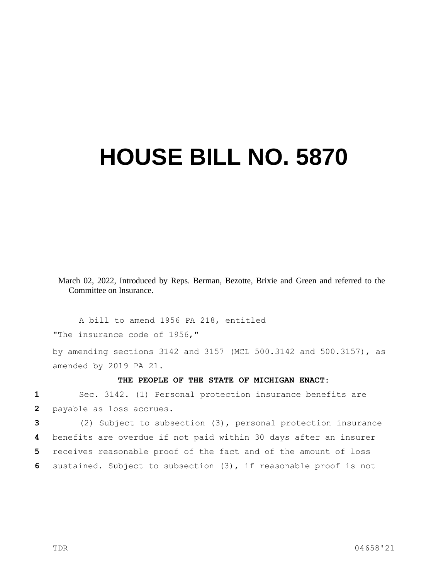## **HOUSE BILL NO. 5870**

March 02, 2022, Introduced by Reps. Berman, Bezotte, Brixie and Green and referred to the Committee on Insurance.

A bill to amend 1956 PA 218, entitled "The insurance code of 1956,"

by amending sections 3142 and 3157 (MCL 500.3142 and 500.3157), as amended by 2019 PA 21.

## **THE PEOPLE OF THE STATE OF MICHIGAN ENACT:**

**1** Sec. 3142. (1) Personal protection insurance benefits are **2** payable as loss accrues.

 (2) Subject to subsection (3), personal protection insurance benefits are overdue if not paid within 30 days after an insurer receives reasonable proof of the fact and of the amount of loss sustained. Subject to subsection (3), if reasonable proof is not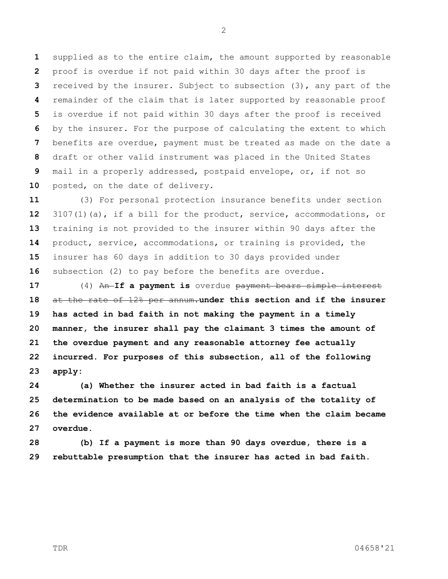supplied as to the entire claim, the amount supported by reasonable proof is overdue if not paid within 30 days after the proof is received by the insurer. Subject to subsection (3), any part of the remainder of the claim that is later supported by reasonable proof is overdue if not paid within 30 days after the proof is received by the insurer. For the purpose of calculating the extent to which benefits are overdue, payment must be treated as made on the date a draft or other valid instrument was placed in the United States mail in a properly addressed, postpaid envelope, or, if not so posted, on the date of delivery.

 (3) For personal protection insurance benefits under section 3107(1)(a), if a bill for the product, service, accommodations, or training is not provided to the insurer within 90 days after the product, service, accommodations, or training is provided, the insurer has 60 days in addition to 30 days provided under subsection (2) to pay before the benefits are overdue.

 (4) An **If a payment is** overdue payment bears simple interest at the rate of 12% per annum.**under this section and if the insurer has acted in bad faith in not making the payment in a timely manner, the insurer shall pay the claimant 3 times the amount of the overdue payment and any reasonable attorney fee actually incurred. For purposes of this subsection, all of the following apply:**

 **(a) Whether the insurer acted in bad faith is a factual determination to be made based on an analysis of the totality of the evidence available at or before the time when the claim became overdue.**

 **(b) If a payment is more than 90 days overdue, there is a rebuttable presumption that the insurer has acted in bad faith.**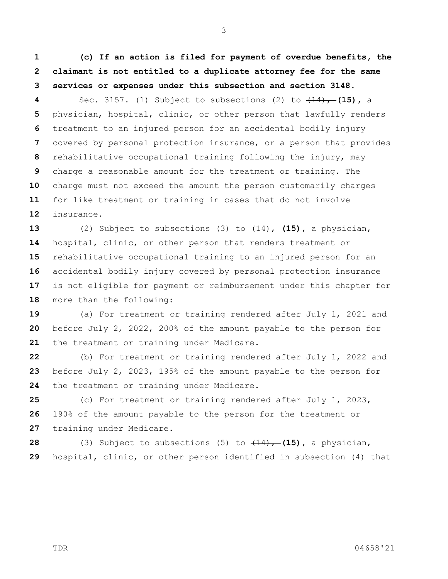**(c) If an action is filed for payment of overdue benefits, the claimant is not entitled to a duplicate attorney fee for the same services or expenses under this subsection and section 3148.**

 Sec. 3157. (1) Subject to subsections (2) to (14), **(15),** a physician, hospital, clinic, or other person that lawfully renders treatment to an injured person for an accidental bodily injury covered by personal protection insurance, or a person that provides rehabilitative occupational training following the injury, may charge a reasonable amount for the treatment or training. The charge must not exceed the amount the person customarily charges for like treatment or training in cases that do not involve insurance.

 (2) Subject to subsections (3) to  $(14)$ , (15), a physician, hospital, clinic, or other person that renders treatment or rehabilitative occupational training to an injured person for an accidental bodily injury covered by personal protection insurance is not eligible for payment or reimbursement under this chapter for more than the following:

 (a) For treatment or training rendered after July 1, 2021 and before July 2, 2022, 200% of the amount payable to the person for the treatment or training under Medicare.

 (b) For treatment or training rendered after July 1, 2022 and before July 2, 2023, 195% of the amount payable to the person for the treatment or training under Medicare.

 (c) For treatment or training rendered after July 1, 2023, 190% of the amount payable to the person for the treatment or training under Medicare.

**28** (3) Subject to subsections (5) to  $(14)$ , (15), a physician, hospital, clinic, or other person identified in subsection (4) that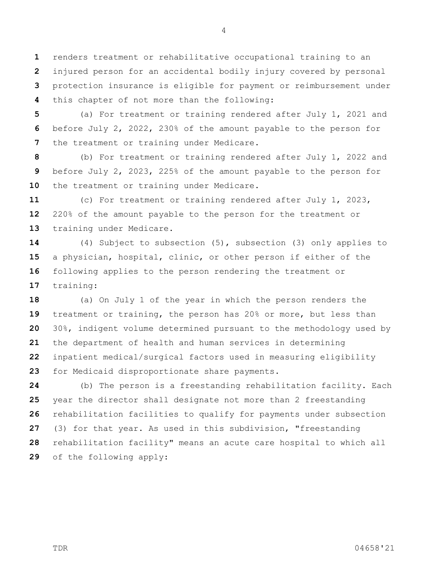renders treatment or rehabilitative occupational training to an injured person for an accidental bodily injury covered by personal protection insurance is eligible for payment or reimbursement under this chapter of not more than the following:

 (a) For treatment or training rendered after July 1, 2021 and before July 2, 2022, 230% of the amount payable to the person for the treatment or training under Medicare.

 (b) For treatment or training rendered after July 1, 2022 and before July 2, 2023, 225% of the amount payable to the person for the treatment or training under Medicare.

 (c) For treatment or training rendered after July 1, 2023, 220% of the amount payable to the person for the treatment or training under Medicare.

 (4) Subject to subsection (5), subsection (3) only applies to a physician, hospital, clinic, or other person if either of the following applies to the person rendering the treatment or training:

 (a) On July 1 of the year in which the person renders the treatment or training, the person has 20% or more, but less than 30%, indigent volume determined pursuant to the methodology used by the department of health and human services in determining inpatient medical/surgical factors used in measuring eligibility for Medicaid disproportionate share payments.

 (b) The person is a freestanding rehabilitation facility. Each year the director shall designate not more than 2 freestanding rehabilitation facilities to qualify for payments under subsection (3) for that year. As used in this subdivision, "freestanding rehabilitation facility" means an acute care hospital to which all of the following apply: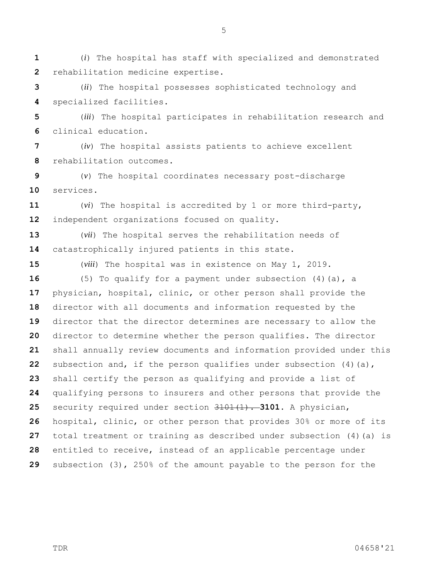(*i*) The hospital has staff with specialized and demonstrated rehabilitation medicine expertise.

 (*ii*) The hospital possesses sophisticated technology and specialized facilities.

 (*iii*) The hospital participates in rehabilitation research and clinical education.

 (*iv*) The hospital assists patients to achieve excellent rehabilitation outcomes.

 (*v*) The hospital coordinates necessary post-discharge services.

 (*vi*) The hospital is accredited by 1 or more third-party, independent organizations focused on quality.

 (*vii*) The hospital serves the rehabilitation needs of catastrophically injured patients in this state.

(*viii*) The hospital was in existence on May 1, 2019.

 (5) To qualify for a payment under subsection (4)(a), a physician, hospital, clinic, or other person shall provide the director with all documents and information requested by the director that the director determines are necessary to allow the director to determine whether the person qualifies. The director shall annually review documents and information provided under this subsection and, if the person qualifies under subsection (4)(a), shall certify the person as qualifying and provide a list of qualifying persons to insurers and other persons that provide the security required under section 3101(1). **3101.** A physician, hospital, clinic, or other person that provides 30% or more of its total treatment or training as described under subsection (4)(a) is entitled to receive, instead of an applicable percentage under subsection (3), 250% of the amount payable to the person for the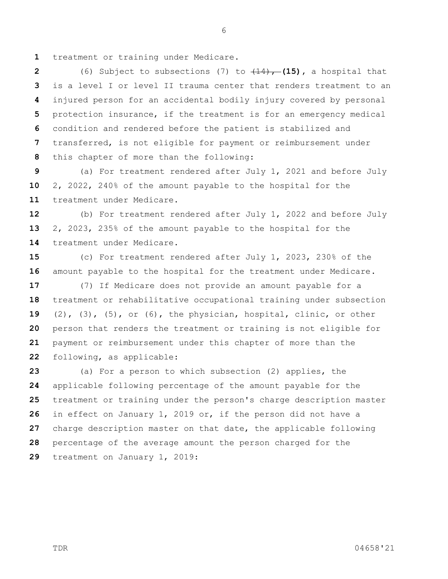treatment or training under Medicare.

 (6) Subject to subsections (7) to  $(14)$ , (15), a hospital that is a level I or level II trauma center that renders treatment to an injured person for an accidental bodily injury covered by personal protection insurance, if the treatment is for an emergency medical condition and rendered before the patient is stabilized and transferred, is not eligible for payment or reimbursement under this chapter of more than the following:

 (a) For treatment rendered after July 1, 2021 and before July 2, 2022, 240% of the amount payable to the hospital for the treatment under Medicare.

 (b) For treatment rendered after July 1, 2022 and before July 2, 2023, 235% of the amount payable to the hospital for the treatment under Medicare.

 (c) For treatment rendered after July 1, 2023, 230% of the amount payable to the hospital for the treatment under Medicare.

 (7) If Medicare does not provide an amount payable for a treatment or rehabilitative occupational training under subsection (2), (3), (5), or (6), the physician, hospital, clinic, or other person that renders the treatment or training is not eligible for payment or reimbursement under this chapter of more than the following, as applicable:

 (a) For a person to which subsection (2) applies, the applicable following percentage of the amount payable for the treatment or training under the person's charge description master in effect on January 1, 2019 or, if the person did not have a charge description master on that date, the applicable following percentage of the average amount the person charged for the treatment on January 1, 2019: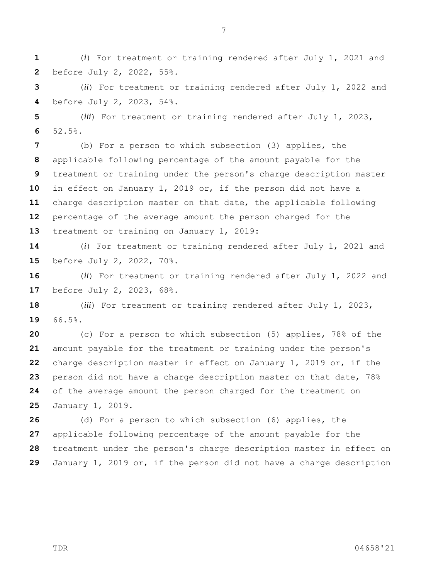percentage of the average amount the person charged for the

treatment or training on January 1, 2019:

before July 2, 2022, 55%.

before July 2, 2023, 54%.

52.5%.

 (*i*) For treatment or training rendered after July 1, 2021 and before July 2, 2022, 70%.

 (*ii*) For treatment or training rendered after July 1, 2022 and before July 2, 2023, 68%.

 (*iii*) For treatment or training rendered after July 1, 2023, 66.5%.

 (c) For a person to which subsection (5) applies, 78% of the amount payable for the treatment or training under the person's charge description master in effect on January 1, 2019 or, if the person did not have a charge description master on that date, 78% of the average amount the person charged for the treatment on January 1, 2019.

 (d) For a person to which subsection (6) applies, the applicable following percentage of the amount payable for the treatment under the person's charge description master in effect on January 1, 2019 or, if the person did not have a charge description

(*i*) For treatment or training rendered after July 1, 2021 and

(*ii*) For treatment or training rendered after July 1, 2022 and

(*iii*) For treatment or training rendered after July 1, 2023,

(b) For a person to which subsection (3) applies, the

applicable following percentage of the amount payable for the

in effect on January 1, 2019 or, if the person did not have a

charge description master on that date, the applicable following

treatment or training under the person's charge description master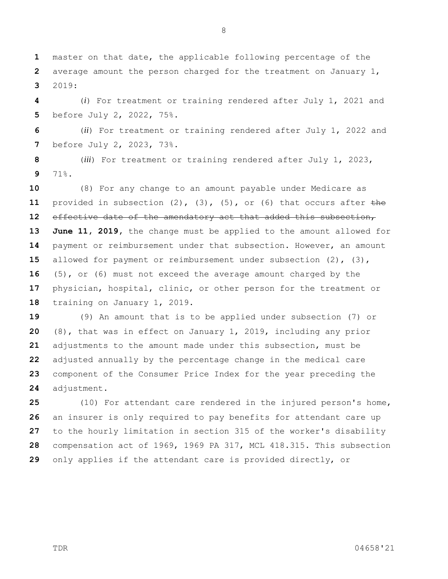master on that date, the applicable following percentage of the average amount the person charged for the treatment on January 1, 2019:

 (*i*) For treatment or training rendered after July 1, 2021 and before July 2, 2022, 75%.

 (*ii*) For treatment or training rendered after July 1, 2022 and before July 2, 2023, 73%.

 (*iii*) For treatment or training rendered after July 1, 2023, 71%.

 (8) For any change to an amount payable under Medicare as provided in subsection (2), (3), (5), or (6) that occurs after the effective date of the amendatory act that added this subsection, **June 11, 2019,** the change must be applied to the amount allowed for payment or reimbursement under that subsection. However, an amount allowed for payment or reimbursement under subsection (2), (3), (5), or (6) must not exceed the average amount charged by the physician, hospital, clinic, or other person for the treatment or training on January 1, 2019.

 (9) An amount that is to be applied under subsection (7) or (8), that was in effect on January 1, 2019, including any prior adjustments to the amount made under this subsection, must be adjusted annually by the percentage change in the medical care component of the Consumer Price Index for the year preceding the adjustment.

 (10) For attendant care rendered in the injured person's home, an insurer is only required to pay benefits for attendant care up to the hourly limitation in section 315 of the worker's disability compensation act of 1969, 1969 PA 317, MCL 418.315. This subsection only applies if the attendant care is provided directly, or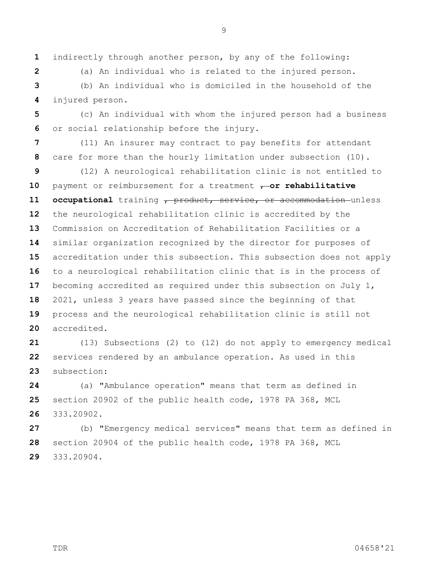indirectly through another person, by any of the following:

(a) An individual who is related to the injured person.

 (b) An individual who is domiciled in the household of the injured person.

 (c) An individual with whom the injured person had a business or social relationship before the injury.

 (11) An insurer may contract to pay benefits for attendant care for more than the hourly limitation under subsection (10).

 (12) A neurological rehabilitation clinic is not entitled to 10 payment or reimbursement for a treatment  $\tau$ -or rehabilitative **occupational** training , product, service, or accommodation unless the neurological rehabilitation clinic is accredited by the Commission on Accreditation of Rehabilitation Facilities or a similar organization recognized by the director for purposes of accreditation under this subsection. This subsection does not apply to a neurological rehabilitation clinic that is in the process of becoming accredited as required under this subsection on July 1, 2021, unless 3 years have passed since the beginning of that process and the neurological rehabilitation clinic is still not accredited.

 (13) Subsections (2) to (12) do not apply to emergency medical services rendered by an ambulance operation. As used in this subsection:

 (a) "Ambulance operation" means that term as defined in section 20902 of the public health code, 1978 PA 368, MCL 333.20902.

 (b) "Emergency medical services" means that term as defined in section 20904 of the public health code, 1978 PA 368, MCL 333.20904.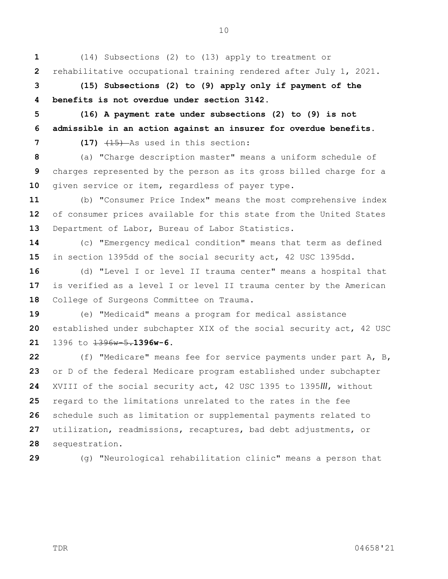(14) Subsections (2) to (13) apply to treatment or rehabilitative occupational training rendered after July 1, 2021.

 **(15) Subsections (2) to (9) apply only if payment of the benefits is not overdue under section 3142.**

 **(16) A payment rate under subsections (2) to (9) is not admissible in an action against an insurer for overdue benefits.**

**7 (17)**  $\left( \frac{17}{15} \right)$  As used in this section:

 (a) "Charge description master" means a uniform schedule of charges represented by the person as its gross billed charge for a given service or item, regardless of payer type.

 (b) "Consumer Price Index" means the most comprehensive index of consumer prices available for this state from the United States Department of Labor, Bureau of Labor Statistics.

 (c) "Emergency medical condition" means that term as defined in section 1395dd of the social security act, 42 USC 1395dd.

 (d) "Level I or level II trauma center" means a hospital that is verified as a level I or level II trauma center by the American 18 College of Surgeons Committee on Trauma.

 (e) "Medicaid" means a program for medical assistance established under subchapter XIX of the social security act, 42 USC 1396 to 1396w-5.**1396w-6.**

 (f) "Medicare" means fee for service payments under part A, B, or D of the federal Medicare program established under subchapter XVIII of the social security act, 42 USC 1395 to 1395*lll*, without regard to the limitations unrelated to the rates in the fee schedule such as limitation or supplemental payments related to utilization, readmissions, recaptures, bad debt adjustments, or sequestration.

(g) "Neurological rehabilitation clinic" means a person that